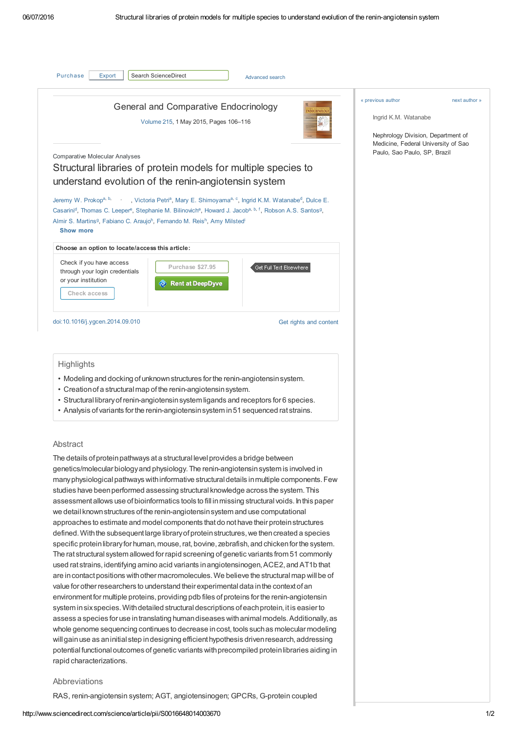<span id="page-0-1"></span><span id="page-0-0"></span>

| Search ScienceDirect<br>Purchase<br>Export                                                                                                                                                                                                                                                                                                                                                                                                                                                                                                                                                                                 |                              | Advanced search         |                        |                                                                                                                                         |  |
|----------------------------------------------------------------------------------------------------------------------------------------------------------------------------------------------------------------------------------------------------------------------------------------------------------------------------------------------------------------------------------------------------------------------------------------------------------------------------------------------------------------------------------------------------------------------------------------------------------------------------|------------------------------|-------------------------|------------------------|-----------------------------------------------------------------------------------------------------------------------------------------|--|
| General and Comparative Endocrinology<br><b>ENDOCRINOLOGY</b><br>Volume 215, 1 May 2015, Pages 106-116                                                                                                                                                                                                                                                                                                                                                                                                                                                                                                                     |                              |                         |                        | « previous author<br>next author »<br>Ingrid K.M. Watanabe<br>Nephrology Division, Department of<br>Medicine, Federal University of Sao |  |
| <b>Comparative Molecular Analyses</b><br>Structural libraries of protein models for multiple species to<br>understand evolution of the renin-angiotensin system<br>Jeremy W. Prokopa, b, yictoria Petri <sup>a</sup> , Mary E. Shimoyama <sup>a, c</sup> , Ingrid K.M. Watanabe <sup>d</sup> , Dulce E.<br>Casarini <sup>d</sup> , Thomas C. Leeper <sup>e</sup> , Stephanie M. Bilinovich <sup>e</sup> , Howard J. Jacob <sup>a, b, f</sup> , Robson A.S. Santos <sup>9</sup> ,<br>Almir S. Martins <sup>9</sup> , Fabiano C. Araujo <sup>h</sup> , Fernando M. Reis <sup>h</sup> , Amy Milsted <sup>i</sup><br>Show more |                              |                         |                        | Paulo, Sao Paulo, SP, Brazil                                                                                                            |  |
| Choose an option to locate/access this article:<br>Check if you have access<br>through your login credentials                                                                                                                                                                                                                                                                                                                                                                                                                                                                                                              | Purchase \$27.95             | Get Full Text Elsewhere |                        |                                                                                                                                         |  |
| or your institution<br>Check access                                                                                                                                                                                                                                                                                                                                                                                                                                                                                                                                                                                        | <b>Rent at DeepDyve</b><br>ര |                         |                        |                                                                                                                                         |  |
| doi:10.1016/j.ygcen.2014.09.010                                                                                                                                                                                                                                                                                                                                                                                                                                                                                                                                                                                            |                              |                         | Get rights and content |                                                                                                                                         |  |
|                                                                                                                                                                                                                                                                                                                                                                                                                                                                                                                                                                                                                            |                              |                         |                        |                                                                                                                                         |  |

**Highlights** 

- Modeling and docking of unknown structures for the renin-angiotensin system.
- Creationofa structuralmap of the renin-angiotensinsystem.
- Structural libraryofrenin-angiotensinsystem ligands and receptors for 6 species.
- Analysis of variants forthe renin-angiotensinsystem in51 sequenced rat strains.

## Abstract

The details of protein pathways at a structural level provides a bridge between genetics/molecular biologyand physiology.The renin-angiotensinsystem is involved in many physiological pathways with informative structural details in multiple components. Few studies have beenperformed assessing structural knowledge across the system.This assessmentallows use ofbioinformatics tools to fill inmissing structural voids. Inthis paper we detail knownstructures of the renin-angiotensinsystem and use computational approaches to estimate and model components thatdo nothave their proteinstructures defined. With the subsequent large library of protein structures, we then created a species specific protein library for human, mouse, rat, bovine, zebrafish, and chicken for the system. The rat structural system allowed forrapid screening ofgenetic variants from 51 commonly used rat strains, identifying amino acid variants in angiotensinogen, ACE2, and AT1b that are in contact positions with other macromolecules. We believe the structural map will be of value for other researchers to understand their experimental data in the context of an environment for multiple proteins, providing pdb files of proteins for the renin-angiotensin system insixspecies.Withdetailed structuraldescriptions ofeachprotein, it is easierto assess a species for use intranslating humandiseases withanimalmodels.Additionally,as whole genome sequencing continues to decrease in cost, tools such as molecular modeling will gain use as an initial step in designing efficient hypothesis driven research, addressing potentialfunctionaloutcomes ofgenetic variants withprecompiled proteinlibraries aiding in rapid characterizations.

## Abbreviations

RAS, renin-angiotensin system; AGT, angiotensinogen; GPCRs, G-protein coupled